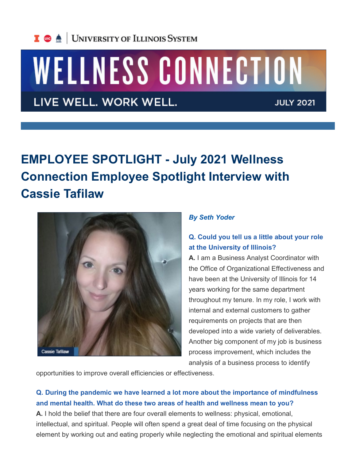

# WELLNESS CONNECTION

LIVE WELL. WORK WELL.

**JULY 2021** 

## **EMPLOYEE SPOTLIGHT - July 2021 Wellness Connection Employee Spotlight Interview with Cassie Tafilaw**



#### *By Seth Yoder*

#### **Q. Could you tell us a little about your role at the University of Illinois?**

**A.** I am a Business Analyst Coordinator with the Office of Organizational Effectiveness and have been at the University of Illinois for 14 years working for the same department throughout my tenure. In my role, I work with internal and external customers to gather requirements on projects that are then developed into a wide variety of deliverables. Another big component of my job is business process improvement, which includes the analysis of a business process to identify

opportunities to improve overall efficiencies or effectiveness.

#### **Q. During the pandemic we have learned a lot more about the importance of mindfulness and mental health. What do these two areas of health and wellness mean to you?**

**A.** I hold the belief that there are four overall elements to wellness: physical, emotional, intellectual, and spiritual. People will often spend a great deal of time focusing on the physical element by working out and eating properly while neglecting the emotional and spiritual elements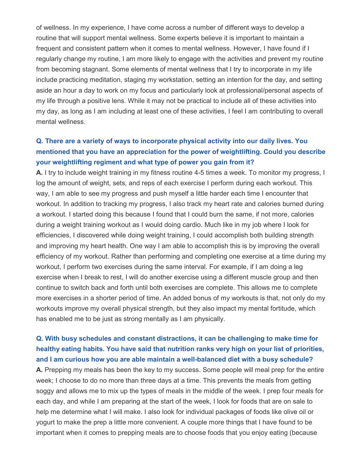of wellness. In my experience, I have come across a number of different ways to develop a routine that will support mental wellness. Some experts believe it is important to maintain a frequent and consistent pattern when it comes to mental wellness. However, I have found if I regularly change my routine, I am more likely to engage with the activities and prevent my routine from becoming stagnant. Some elements of mental wellness that I try to incorporate in my life include practicing meditation, staging my workstation, setting an intention for the day, and setting aside an hour a day to work on my focus and particularly look at professional/personal aspects of my life through a positive lens. While it may not be practical to include all of these activities into my day, as long as I am including at least one of these activities, I feel I am contributing to overall mental wellness.

### **Q. There are a variety of ways to incorporate physical activity into our daily lives. You mentioned that you have an appreciation for the power of weightlifting. Could you describe your weightlifting regiment and what type of power you gain from it?**

**A.** I try to include weight training in my fitness routine 4-5 times a week. To monitor my progress, I log the amount of weight, sets, and reps of each exercise I perform during each workout. This way, I am able to see my progress and push myself a little harder each time I encounter that workout. In addition to tracking my progress, I also track my heart rate and calories burned during a workout. I started doing this because I found that I could burn the same, if not more, calories during a weight training workout as I would doing cardio. Much like in my job where I look for efficiencies, I discovered while doing weight training, I could accomplish both building strength and improving my heart health. One way I am able to accomplish this is by improving the overall efficiency of my workout. Rather than performing and completing one exercise at a time during my workout, I perform two exercises during the same interval. For example, if I am doing a leg exercise when I break to rest, I will do another exercise using a different muscle group and then continue to switch back and forth until both exercises are complete. This allows me to complete more exercises in a shorter period of time. An added bonus of my workouts is that, not only do my workouts improve my overall physical strength, but they also impact my mental fortitude, which has enabled me to be just as strong mentally as I am physically.

**Q. With busy schedules and constant distractions, it can be challenging to make time for healthy eating habits. You have said that nutrition ranks very high on your list of priorities, and I am curious how you are able maintain a well-balanced diet with a busy schedule? A.** Prepping my meals has been the key to my success. Some people will meal prep for the entire week; I choose to do no more than three days at a time. This prevents the meals from getting soggy and allows me to mix up the types of meals in the middle of the week. I prep four meals for each day, and while I am preparing at the start of the week, I look for foods that are on sale to help me determine what I will make. I also look for individual packages of foods like olive oil or yogurt to make the prep a little more convenient. A couple more things that I have found to be important when it comes to prepping meals are to choose foods that you enjoy eating (because